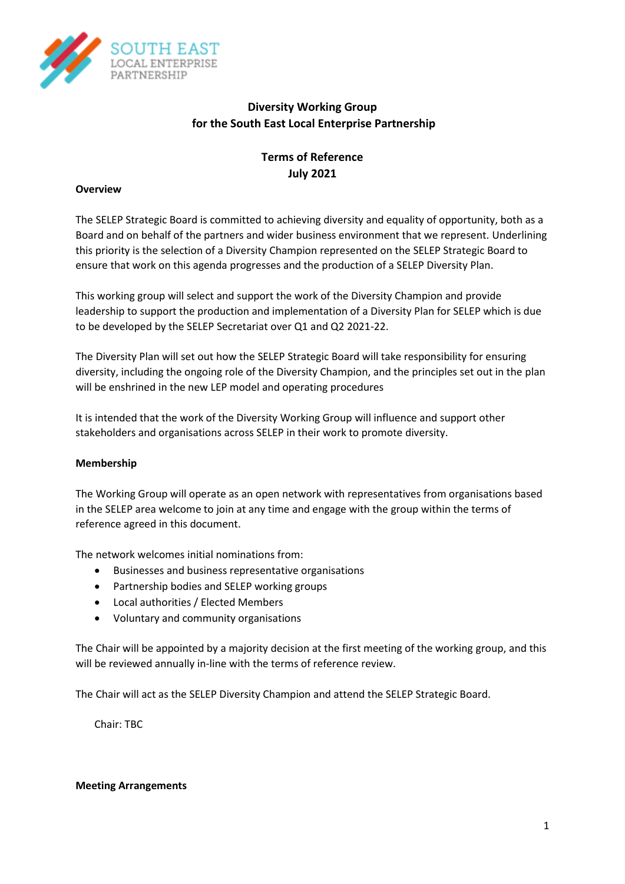

## **Diversity Working Group for the South East Local Enterprise Partnership**

# **Terms of Reference July 2021**

#### **Overview**

The SELEP Strategic Board is committed to achieving diversity and equality of opportunity, both as a Board and on behalf of the partners and wider business environment that we represent. Underlining this priority is the selection of a Diversity Champion represented on the SELEP Strategic Board to ensure that work on this agenda progresses and the production of a SELEP Diversity Plan.

This working group will select and support the work of the Diversity Champion and provide leadership to support the production and implementation of a Diversity Plan for SELEP which is due to be developed by the SELEP Secretariat over Q1 and Q2 2021-22.

The Diversity Plan will set out how the SELEP Strategic Board will take responsibility for ensuring diversity, including the ongoing role of the Diversity Champion, and the principles set out in the plan will be enshrined in the new LEP model and operating procedures

It is intended that the work of the Diversity Working Group will influence and support other stakeholders and organisations across SELEP in their work to promote diversity.

#### **Membership**

The Working Group will operate as an open network with representatives from organisations based in the SELEP area welcome to join at any time and engage with the group within the terms of reference agreed in this document.

The network welcomes initial nominations from:

- Businesses and business representative organisations
- Partnership bodies and SELEP working groups
- Local authorities / Elected Members
- Voluntary and community organisations

The Chair will be appointed by a majority decision at the first meeting of the working group, and this will be reviewed annually in-line with the terms of reference review.

The Chair will act as the SELEP Diversity Champion and attend the SELEP Strategic Board.

Chair: TBC

#### **Meeting Arrangements**